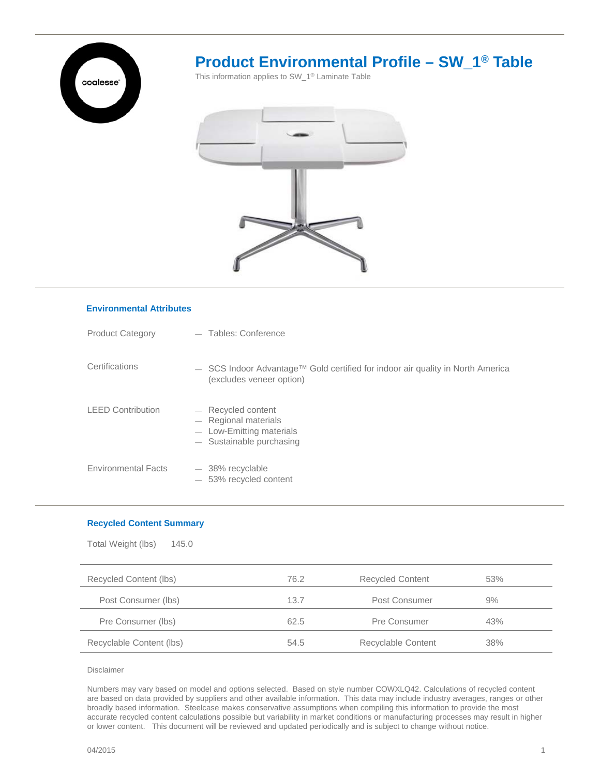

# **Product Environmental Profile – SW\_1® Table**

This information applies to SW\_1® Laminate Table



## Product Category — Tables: Conference LEED Contribution **Certifications** ― Recycled content ― Regional materials ― Low-Emitting materials Sustainable purchasing ― SCS Indoor Advantage™ Gold certified for indoor air quality in North America (excludes veneer option)

- Environmental Facts 38% recyclable ― 53% recycled content
	-

### **Recycled Content Summary**

**Environmental Attributes**

| Total Weight (lbs)<br>145.0 |      |                         |     |  |  |
|-----------------------------|------|-------------------------|-----|--|--|
| Recycled Content (lbs)      | 76.2 | <b>Recycled Content</b> | 53% |  |  |
| Post Consumer (lbs)         | 13.7 | Post Consumer           | 9%  |  |  |
| Pre Consumer (lbs)          | 62.5 | Pre Consumer            | 43% |  |  |
| Recyclable Content (lbs)    | 54.5 | Recyclable Content      | 38% |  |  |

#### Disclaimer

Numbers may vary based on model and options selected. Based on style number COWXLQ42. Calculations of recycled content are based on data provided by suppliers and other available information. This data may include industry averages, ranges or other broadly based information. Steelcase makes conservative assumptions when compiling this information to provide the most accurate recycled content calculations possible but variability in market conditions or manufacturing processes may result in higher or lower content. This document will be reviewed and updated periodically and is subject to change without notice.